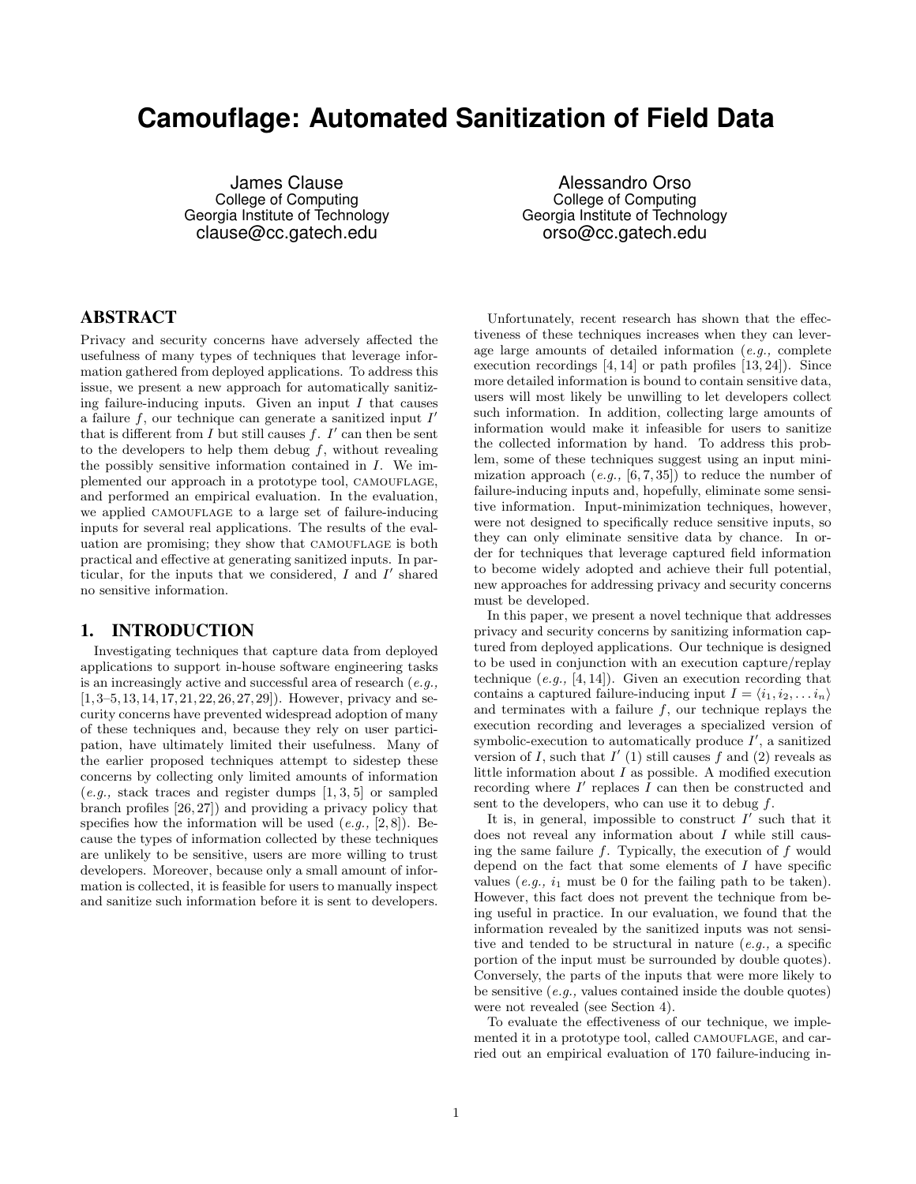# **Camouflage: Automated Sanitization of Field Data**

James Clause College of Computing Georgia Institute of Technology clause@cc.gatech.edu

Alessandro Orso College of Computing Georgia Institute of Technology orso@cc.gatech.edu

## ABSTRACT

Privacy and security concerns have adversely affected the usefulness of many types of techniques that leverage information gathered from deployed applications. To address this issue, we present a new approach for automatically sanitizing failure-inducing inputs. Given an input  $I$  that causes a failure  $f$ , our technique can generate a sanitized input  $I'$ that is different from  $I$  but still causes  $f$ .  $I'$  can then be sent to the developers to help them debug  $f$ , without revealing the possibly sensitive information contained in I. We implemented our approach in a prototype tool, CAMOUFLAGE, and performed an empirical evaluation. In the evaluation, we applied CAMOUFLAGE to a large set of failure-inducing inputs for several real applications. The results of the evaluation are promising; they show that CAMOUFLAGE is both practical and effective at generating sanitized inputs. In particular, for the inputs that we considered,  $I$  and  $I'$  shared no sensitive information.

#### 1. INTRODUCTION

Investigating techniques that capture data from deployed applications to support in-house software engineering tasks is an increasingly active and successful area of research  $(e.g.,)$  $[1, 3-5, 13, 14, 17, 21, 22, 26, 27, 29]$ . However, privacy and security concerns have prevented widespread adoption of many of these techniques and, because they rely on user participation, have ultimately limited their usefulness. Many of the earlier proposed techniques attempt to sidestep these concerns by collecting only limited amounts of information  $(e.g., \text{stack traces and register dumps } [1, 3, 5] \text{ or sampled})$ branch profiles [26, 27]) and providing a privacy policy that specifies how the information will be used  $(e.g., [2, 8])$ . Because the types of information collected by these techniques are unlikely to be sensitive, users are more willing to trust developers. Moreover, because only a small amount of information is collected, it is feasible for users to manually inspect and sanitize such information before it is sent to developers.

Unfortunately, recent research has shown that the effectiveness of these techniques increases when they can leverage large amounts of detailed information (e.g., complete execution recordings [4, 14] or path profiles [13, 24]). Since more detailed information is bound to contain sensitive data, users will most likely be unwilling to let developers collect such information. In addition, collecting large amounts of information would make it infeasible for users to sanitize the collected information by hand. To address this problem, some of these techniques suggest using an input minimization approach  $(e.g., [6, 7, 35])$  to reduce the number of failure-inducing inputs and, hopefully, eliminate some sensitive information. Input-minimization techniques, however, were not designed to specifically reduce sensitive inputs, so they can only eliminate sensitive data by chance. In order for techniques that leverage captured field information to become widely adopted and achieve their full potential, new approaches for addressing privacy and security concerns must be developed.

In this paper, we present a novel technique that addresses privacy and security concerns by sanitizing information captured from deployed applications. Our technique is designed to be used in conjunction with an execution capture/replay technique  $(e,q, [4, 14])$ . Given an execution recording that contains a captured failure-inducing input  $I = \langle i_1, i_2, \ldots i_n \rangle$ and terminates with a failure  $f$ , our technique replays the execution recording and leverages a specialized version of symbolic-execution to automatically produce  $I'$ , a sanitized version of I, such that  $I'$  (1) still causes f and (2) reveals as little information about  $I$  as possible. A modified execution recording where  $I'$  replaces  $I$  can then be constructed and sent to the developers, who can use it to debug  $f$ .

It is, in general, impossible to construct  $I'$  such that it does not reveal any information about I while still causing the same failure  $f$ . Typically, the execution of  $f$  would depend on the fact that some elements of I have specific values (e.g.,  $i_1$  must be 0 for the failing path to be taken). However, this fact does not prevent the technique from being useful in practice. In our evaluation, we found that the information revealed by the sanitized inputs was not sensitive and tended to be structural in nature  $(e.g., a specific)$ portion of the input must be surrounded by double quotes). Conversely, the parts of the inputs that were more likely to be sensitive (e.g., values contained inside the double quotes) were not revealed (see Section 4).

To evaluate the effectiveness of our technique, we implemented it in a prototype tool, called CAMOUFLAGE, and carried out an empirical evaluation of 170 failure-inducing in-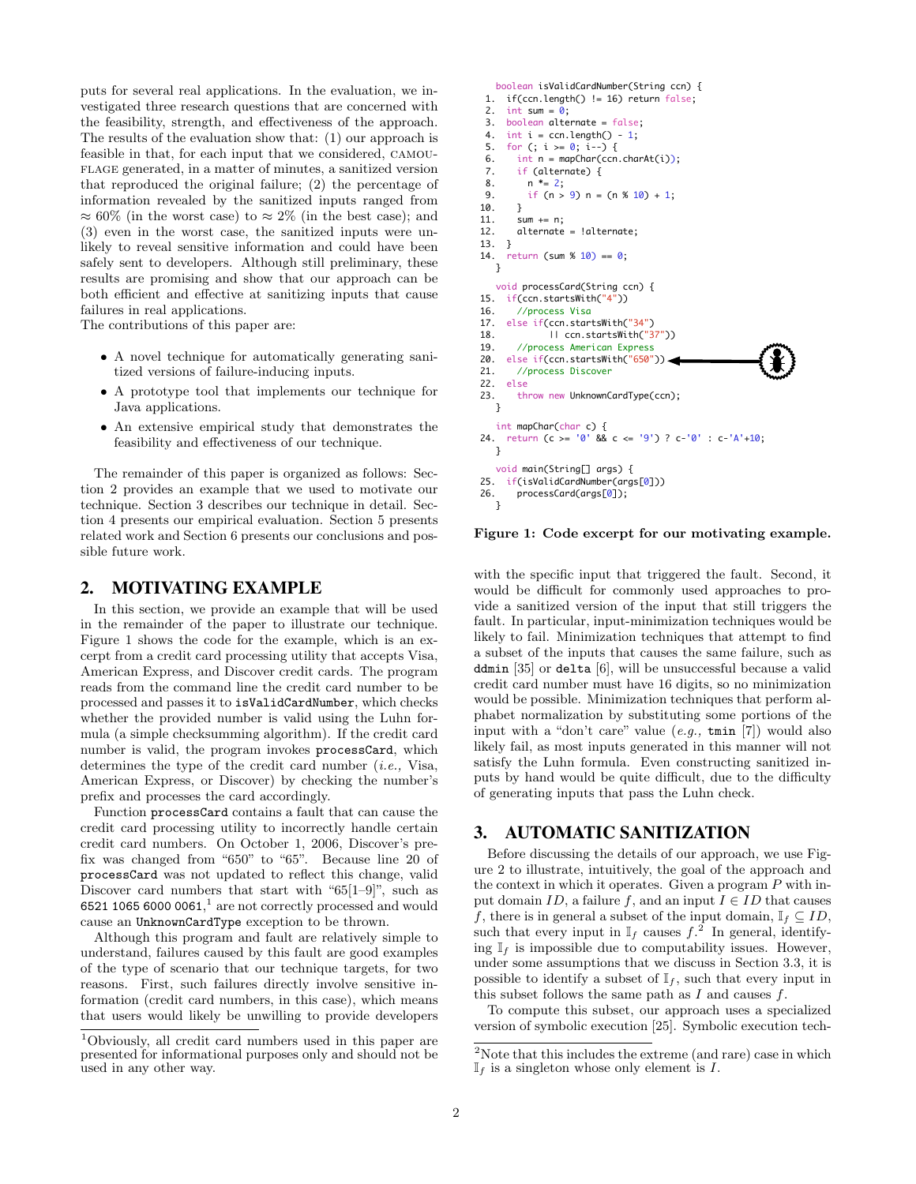puts for several real applications. In the evaluation, we investigated three research questions that are concerned with the feasibility, strength, and effectiveness of the approach. The results of the evaluation show that: (1) our approach is feasible in that, for each input that we considered, camouflage generated, in a matter of minutes, a sanitized version that reproduced the original failure; (2) the percentage of information revealed by the sanitized inputs ranged from  $\approx 60\%$  (in the worst case) to  $\approx 2\%$  (in the best case); and (3) even in the worst case, the sanitized inputs were unlikely to reveal sensitive information and could have been safely sent to developers. Although still preliminary, these results are promising and show that our approach can be both efficient and effective at sanitizing inputs that cause failures in real applications.

The contributions of this paper are:

- A novel technique for automatically generating sanitized versions of failure-inducing inputs.
- A prototype tool that implements our technique for Java applications.
- An extensive empirical study that demonstrates the feasibility and effectiveness of our technique.

The remainder of this paper is organized as follows: Section 2 provides an example that we used to motivate our technique. Section 3 describes our technique in detail. Section 4 presents our empirical evaluation. Section 5 presents related work and Section 6 presents our conclusions and possible future work.

#### 2. MOTIVATING EXAMPLE

In this section, we provide an example that will be used in the remainder of the paper to illustrate our technique. Figure 1 shows the code for the example, which is an excerpt from a credit card processing utility that accepts Visa, American Express, and Discover credit cards. The program reads from the command line the credit card number to be processed and passes it to isValidCardNumber, which checks whether the provided number is valid using the Luhn formula (a simple checksumming algorithm). If the credit card number is valid, the program invokes processCard, which determines the type of the credit card number  $(i.e., Visa,$ American Express, or Discover) by checking the number's prefix and processes the card accordingly.

Function processCard contains a fault that can cause the credit card processing utility to incorrectly handle certain credit card numbers. On October 1, 2006, Discover's prefix was changed from "650" to "65". Because line 20 of processCard was not updated to reflect this change, valid Discover card numbers that start with "65[1–9]", such as 6521 1065 6000 0061,<sup>1</sup> are not correctly processed and would cause an UnknownCardType exception to be thrown.

Although this program and fault are relatively simple to understand, failures caused by this fault are good examples of the type of scenario that our technique targets, for two reasons. First, such failures directly involve sensitive information (credit card numbers, in this case), which means that users would likely be unwilling to provide developers

```
 boolean isValidCardNumber(String ccn) {
  1. if(ccn.length() != 16) return false; 
 2. int sum = 0;
  3. boolean alternate = false;
 4. int i = \text{ccn.length}() - 1;
 5. for (; i >= 0; i--) {
 6. int n = mapChar(ccn.charAt(i)); 7. if (alternate) {
 8. n * = 2;9. if (n > 9) n = (n % 10) + 1;
10. }
11. sum += n;
12. alternate = !alternate;
13. }
14. return (sum % 10 = 0; }
    void processCard(String ccn) {
15. if(ccn.startsWith("4"))<br>16. //process_Visa
       //process Visa
17. else if(ccn.startsWith("34") 
18. || ccn.startsWith("37"))
19. //process American Express<br>20. else if(ccn.startsWith("650"
20. else if(ccn.startsWith("650"))<br>21. //process Discover
       //process Discover
22. else
23. throw new UnknownCardType(ccn):
    }
    int mapChar(char c) {
24. return (c = 0' 88 c = 9') ? c - 0' : c - 1/4 + 10;
    }
void main(String[] args) {<br>25. if(isValidCardNumber(args
     if(isValidCardNumber(args[0]))
26. processCard(args[0]);
 }
```
Figure 1: Code excerpt for our motivating example.

with the specific input that triggered the fault. Second, it would be difficult for commonly used approaches to provide a sanitized version of the input that still triggers the fault. In particular, input-minimization techniques would be likely to fail. Minimization techniques that attempt to find a subset of the inputs that causes the same failure, such as ddmin [35] or delta [6], will be unsuccessful because a valid credit card number must have 16 digits, so no minimization would be possible. Minimization techniques that perform alphabet normalization by substituting some portions of the input with a "don't care" value  $(e.g., \text{ tmin } [7])$  would also likely fail, as most inputs generated in this manner will not satisfy the Luhn formula. Even constructing sanitized inputs by hand would be quite difficult, due to the difficulty of generating inputs that pass the Luhn check.

## 3. AUTOMATIC SANITIZATION

Before discussing the details of our approach, we use Figure 2 to illustrate, intuitively, the goal of the approach and the context in which it operates. Given a program  $P$  with input domain ID, a failure f, and an input  $I \in ID$  that causes f, there is in general a subset of the input domain,  $\mathbb{I}_f \subseteq ID$ , such that every input in  $\mathbb{I}_f$  causes  $f^2$ . In general, identifying  $\mathbb{I}_f$  is impossible due to computability issues. However, under some assumptions that we discuss in Section 3.3, it is possible to identify a subset of  $\mathbb{I}_f$ , such that every input in this subset follows the same path as  $I$  and causes  $f$ .

To compute this subset, our approach uses a specialized version of symbolic execution [25]. Symbolic execution tech-

<sup>1</sup>Obviously, all credit card numbers used in this paper are presented for informational purposes only and should not be used in any other way.

<sup>&</sup>lt;sup>2</sup>Note that this includes the extreme (and rare) case in which  $\mathbb{I}_f$  is a singleton whose only element is I.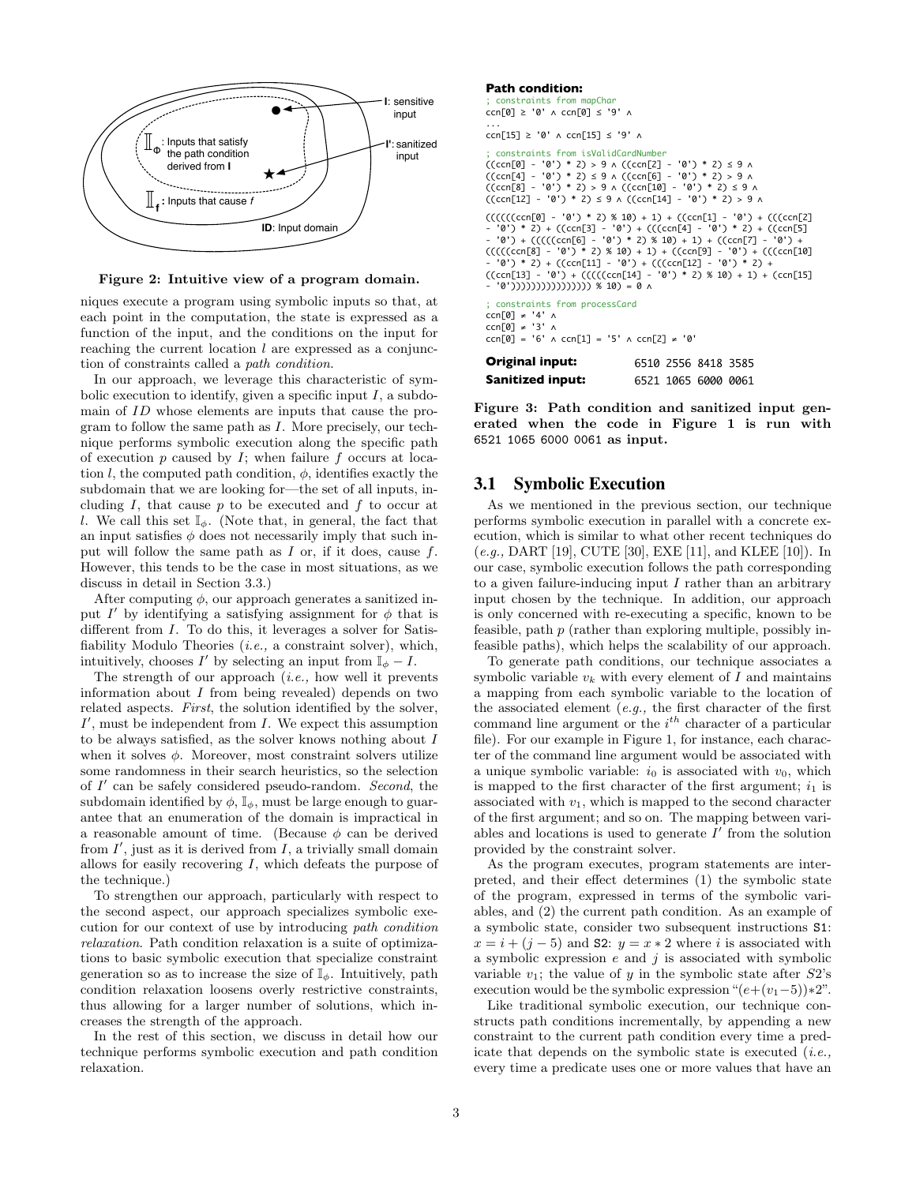

Figure 2: Intuitive view of a program domain.

niques execute a program using symbolic inputs so that, at each point in the computation, the state is expressed as a function of the input, and the conditions on the input for reaching the current location  $l$  are expressed as a conjunction of constraints called a path condition.

In our approach, we leverage this characteristic of symbolic execution to identify, given a specific input  $I$ , a subdomain of ID whose elements are inputs that cause the program to follow the same path as I. More precisely, our technique performs symbolic execution along the specific path of execution  $p$  caused by  $I$ ; when failure  $f$  occurs at location l, the computed path condition,  $\phi$ , identifies exactly the subdomain that we are looking for—the set of all inputs, including  $I$ , that cause  $p$  to be executed and  $f$  to occur at l. We call this set  $\mathbb{I}_{\phi}$ . (Note that, in general, the fact that an input satisfies  $\phi$  does not necessarily imply that such input will follow the same path as  $I$  or, if it does, cause  $f$ . However, this tends to be the case in most situations, as we discuss in detail in Section 3.3.)

After computing  $\phi$ , our approach generates a sanitized input  $I'$  by identifying a satisfying assignment for  $\phi$  that is different from *I*. To do this, it leverages a solver for Satisfiability Modulo Theories  $(i.e., a constraint solver)$ , which, intuitively, chooses I' by selecting an input from  $\mathbb{I}_{\phi} - I$ .

The strength of our approach *(i.e.,* how well it prevents information about  $I$  from being revealed) depends on two related aspects. First, the solution identified by the solver,  $I'$ , must be independent from  $I$ . We expect this assumption to be always satisfied, as the solver knows nothing about  $\cal I$ when it solves  $\phi$ . Moreover, most constraint solvers utilize some randomness in their search heuristics, so the selection of  $I'$  can be safely considered pseudo-random. Second, the subdomain identified by  $\phi$ ,  $\mathbb{I}_{\phi}$ , must be large enough to guarantee that an enumeration of the domain is impractical in a reasonable amount of time. (Because  $\phi$  can be derived from  $I'$ , just as it is derived from  $I$ , a trivially small domain allows for easily recovering  $I$ , which defeats the purpose of the technique.)

To strengthen our approach, particularly with respect to the second aspect, our approach specializes symbolic execution for our context of use by introducing path condition relaxation. Path condition relaxation is a suite of optimizations to basic symbolic execution that specialize constraint generation so as to increase the size of  $\mathbb{I}_{\phi}$ . Intuitively, path condition relaxation loosens overly restrictive constraints, thus allowing for a larger number of solutions, which increases the strength of the approach.

In the rest of this section, we discuss in detail how our technique performs symbolic execution and path condition relaxation.

#### **Path condition:**

```
; constraints from mapChar
ccn[0] ≥ '0' ∧ ccn[0] ≤ '9' ∧
...
ccn[15] ≥ '0' ∧ ccn[15] ≤ '9' ∧
; constraints from isValidCardNumber
((ccn[0] - '0') * 2) > 9 ∧ ((ccn[2] - '0') * 2) ≤ 9 ∧
((ccn[4] - '0') * 2) ≤ 9 ∧ ((ccn[6] - '0') * 2) > 9 ∧
((ccn[8] - '0') * 2) > 9 ∧ ((ccn[10] - '0') * 2) ≤ 9 ∧
((ccn[12] - '0') * 2) ≤ 9 ∧ ((ccn[14] - '0') * 2) > 9 ∧
(((((ccn[0] - '0') * 2) * 10) + 1) + ((ccn[1] - '0') + ((ccn[2]- '0') * 2) + ((ccn[3] - '0') + (((ccn[4] - '0') * 2) + ((ccn[5]<br>- '0') + ((((ccn[6] - '0') * 2) % 10) + 1) + ((ccn[7] - '0') + (((ccn[2]<br>(((((ccn[8] - '0') * 2) % 10) + 1) + ((ccn[9] - '0') + ((ccn[10]
- '0') * 2) + ((ccn[11] - '0') + (((ccn[12] - '0') * 2) + 
((ccn[13] - '0') + (((((ccn[14] - '0') * 2) % 10) + 1) + (ccn[15] 
  - '0')))))))))))))))) % 10) = 0 ∧
; constraints from processCard
ccn[0] ≠ '4' ∧
ccn[0] ≠ '3' ∧
ccn[0] = '6' ∧ ccn[1] = '5' ∧ ccn[2] \neq '0'
Original input: 
Sanitized input: 6521 1065 6000 0061
                                          6510 2556 8418 3585
```
Figure 3: Path condition and sanitized input generated when the code in Figure 1 is run with 6521 1065 6000 0061 as input.

#### 3.1 Symbolic Execution

As we mentioned in the previous section, our technique performs symbolic execution in parallel with a concrete execution, which is similar to what other recent techniques do (e.g., DART [19], CUTE [30], EXE [11], and KLEE [10]). In our case, symbolic execution follows the path corresponding to a given failure-inducing input  $I$  rather than an arbitrary input chosen by the technique. In addition, our approach is only concerned with re-executing a specific, known to be feasible, path p (rather than exploring multiple, possibly infeasible paths), which helps the scalability of our approach.

To generate path conditions, our technique associates a symbolic variable  $v_k$  with every element of I and maintains a mapping from each symbolic variable to the location of the associated element  $(e.g., the first character of the first)$ command line argument or the  $i^{th}$  character of a particular file). For our example in Figure 1, for instance, each character of the command line argument would be associated with a unique symbolic variable:  $i_0$  is associated with  $v_0$ , which is mapped to the first character of the first argument;  $i_1$  is associated with  $v_1$ , which is mapped to the second character of the first argument; and so on. The mapping between variables and locations is used to generate  $I'$  from the solution provided by the constraint solver.

As the program executes, program statements are interpreted, and their effect determines (1) the symbolic state of the program, expressed in terms of the symbolic variables, and (2) the current path condition. As an example of a symbolic state, consider two subsequent instructions S1:  $x = i + (i - 5)$  and S2:  $y = x * 2$  where i is associated with a symbolic expression  $e$  and  $j$  is associated with symbolic variable  $v_1$ ; the value of y in the symbolic state after  $S2$ 's execution would be the symbolic expression " $(e+(v_1-5))*2$ ".

Like traditional symbolic execution, our technique constructs path conditions incrementally, by appending a new constraint to the current path condition every time a predicate that depends on the symbolic state is executed  $(i.e.,$ every time a predicate uses one or more values that have an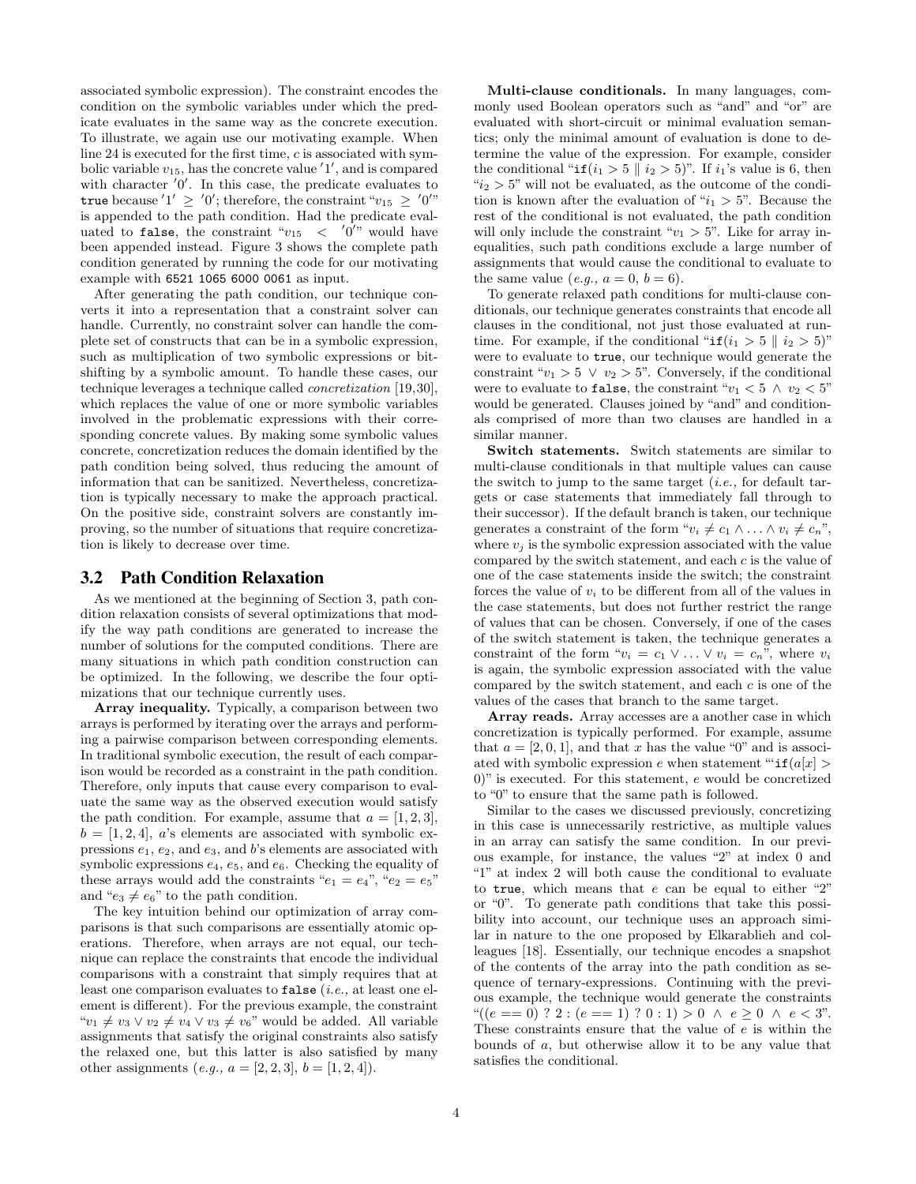associated symbolic expression). The constraint encodes the condition on the symbolic variables under which the predicate evaluates in the same way as the concrete execution. To illustrate, we again use our motivating example. When line 24 is executed for the first time, c is associated with symbolic variable  $v_{15}$ , has the concrete value  $'1'$ , and is compared with character  $'0'$ . In this case, the predicate evaluates to true because  $'1' \geq '0'$ ; therefore, the constraint " $v_{15} \geq '0''$ " is appended to the path condition. Had the predicate evaluated to false, the constraint " $v_{15}$  < '0'" would have been appended instead. Figure 3 shows the complete path condition generated by running the code for our motivating example with 6521 1065 6000 0061 as input.

After generating the path condition, our technique converts it into a representation that a constraint solver can handle. Currently, no constraint solver can handle the complete set of constructs that can be in a symbolic expression, such as multiplication of two symbolic expressions or bitshifting by a symbolic amount. To handle these cases, our technique leverages a technique called concretization [19,30], which replaces the value of one or more symbolic variables involved in the problematic expressions with their corresponding concrete values. By making some symbolic values concrete, concretization reduces the domain identified by the path condition being solved, thus reducing the amount of information that can be sanitized. Nevertheless, concretization is typically necessary to make the approach practical. On the positive side, constraint solvers are constantly improving, so the number of situations that require concretization is likely to decrease over time.

#### 3.2 Path Condition Relaxation

As we mentioned at the beginning of Section 3, path condition relaxation consists of several optimizations that modify the way path conditions are generated to increase the number of solutions for the computed conditions. There are many situations in which path condition construction can be optimized. In the following, we describe the four optimizations that our technique currently uses.

Array inequality. Typically, a comparison between two arrays is performed by iterating over the arrays and performing a pairwise comparison between corresponding elements. In traditional symbolic execution, the result of each comparison would be recorded as a constraint in the path condition. Therefore, only inputs that cause every comparison to evaluate the same way as the observed execution would satisfy the path condition. For example, assume that  $a = \{1, 2, 3\}$ ,  $b = [1, 2, 4]$ , a's elements are associated with symbolic expressions  $e_1, e_2$ , and  $e_3$ , and b's elements are associated with symbolic expressions  $e_4$ ,  $e_5$ , and  $e_6$ . Checking the equality of these arrays would add the constraints " $e_1 = e_4$ ", " $e_2 = e_5$ " and " $e_3 \neq e_6$ " to the path condition.

The key intuition behind our optimization of array comparisons is that such comparisons are essentially atomic operations. Therefore, when arrays are not equal, our technique can replace the constraints that encode the individual comparisons with a constraint that simply requires that at least one comparison evaluates to false (*i.e.*, at least one element is different). For the previous example, the constraint " $v_1 \neq v_3 \vee v_2 \neq v_4 \vee v_3 \neq v_6$ " would be added. All variable assignments that satisfy the original constraints also satisfy the relaxed one, but this latter is also satisfied by many other assignments  $(e.g., a = [2, 2, 3], b = [1, 2, 4]).$ 

Multi-clause conditionals. In many languages, commonly used Boolean operators such as "and" and "or" are evaluated with short-circuit or minimal evaluation semantics; only the minimal amount of evaluation is done to determine the value of the expression. For example, consider the conditional " $if(i_1 > 5 \mid i_2 > 5)$ ". If  $i_1$ 's value is 6, then " $i_2 > 5$ " will not be evaluated, as the outcome of the condition is known after the evaluation of " $i_1 > 5$ ". Because the rest of the conditional is not evaluated, the path condition will only include the constraint " $v_1 > 5$ ". Like for array inequalities, such path conditions exclude a large number of assignments that would cause the conditional to evaluate to the same value (e.g.,  $a = 0$ ,  $b = 6$ ).

To generate relaxed path conditions for multi-clause conditionals, our technique generates constraints that encode all clauses in the conditional, not just those evaluated at runtime. For example, if the conditional " $if(i_1 > 5 \mid i_2 > 5)$ " were to evaluate to true, our technique would generate the constraint " $v_1 > 5 \vee v_2 > 5$ ". Conversely, if the conditional were to evaluate to false, the constraint " $v_1 < 5 \land v_2 < 5$ " would be generated. Clauses joined by "and" and conditionals comprised of more than two clauses are handled in a similar manner.

Switch statements. Switch statements are similar to multi-clause conditionals in that multiple values can cause the switch to jump to the same target  $(i.e.,$  for default targets or case statements that immediately fall through to their successor). If the default branch is taken, our technique generates a constraint of the form " $v_i \neq c_1 \wedge \ldots \wedge v_i \neq c_n$ ", where  $v_i$  is the symbolic expression associated with the value compared by the switch statement, and each  $c$  is the value of one of the case statements inside the switch; the constraint forces the value of  $v_i$  to be different from all of the values in the case statements, but does not further restrict the range of values that can be chosen. Conversely, if one of the cases of the switch statement is taken, the technique generates a constraint of the form " $v_i = c_1 \vee \ldots \vee v_i = c_n$ ", where  $v_i$ is again, the symbolic expression associated with the value compared by the switch statement, and each c is one of the values of the cases that branch to the same target.

Array reads. Array accesses are a another case in which concretization is typically performed. For example, assume that  $a = [2, 0, 1]$ , and that x has the value "0" and is associated with symbolic expression e when statement "" $if(a[x] >$ 0)" is executed. For this statement, e would be concretized to "0" to ensure that the same path is followed.

Similar to the cases we discussed previously, concretizing in this case is unnecessarily restrictive, as multiple values in an array can satisfy the same condition. In our previous example, for instance, the values "2" at index 0 and "1" at index 2 will both cause the conditional to evaluate to true, which means that  $e$  can be equal to either "2" or "0". To generate path conditions that take this possibility into account, our technique uses an approach similar in nature to the one proposed by Elkarablieh and colleagues [18]. Essentially, our technique encodes a snapshot of the contents of the array into the path condition as sequence of ternary-expressions. Continuing with the previous example, the technique would generate the constraints " $((e == 0)$  ? 2 :  $(e == 1)$  ?  $0 : 1) > 0 \land e > 0 \land e < 3$ ". These constraints ensure that the value of e is within the bounds of a, but otherwise allow it to be any value that satisfies the conditional.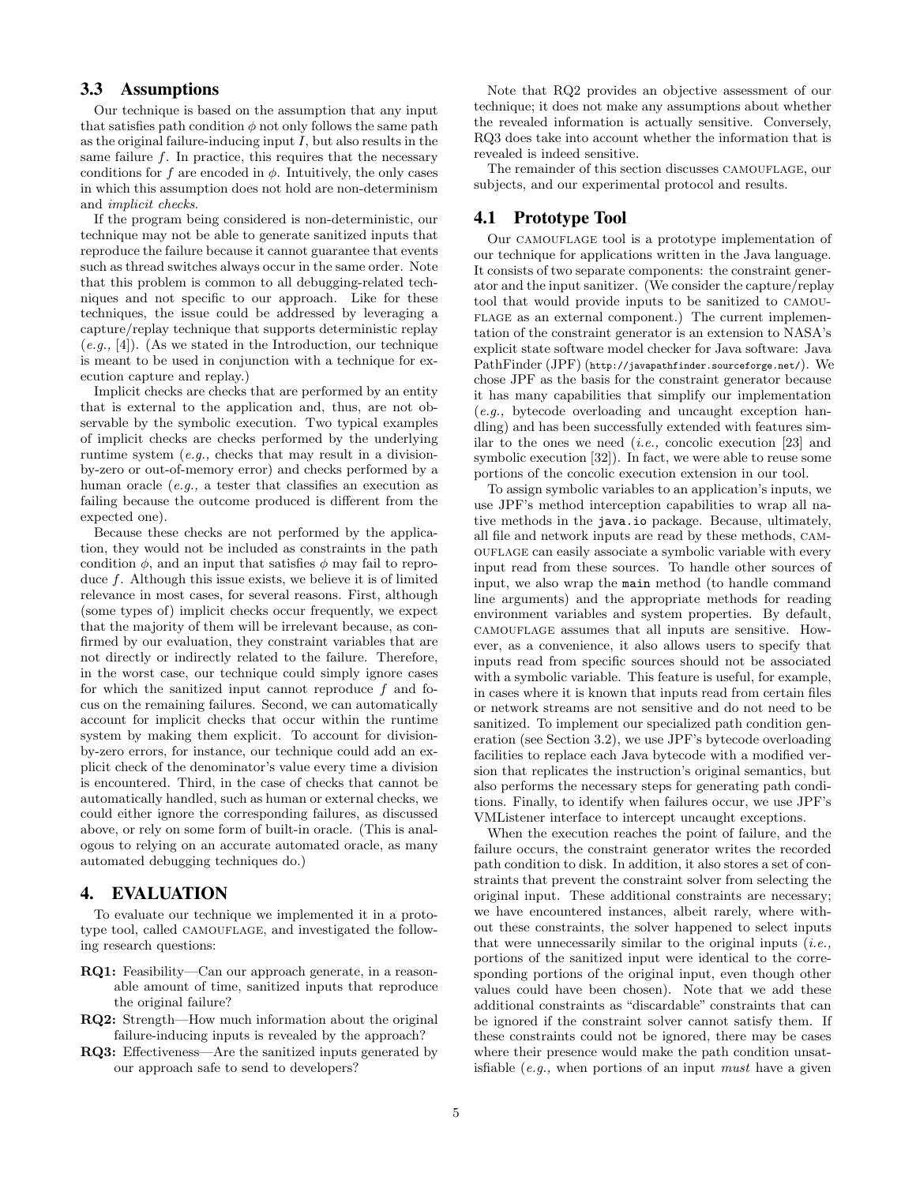## 3.3 Assumptions

Our technique is based on the assumption that any input that satisfies path condition  $\phi$  not only follows the same path as the original failure-inducing input  $I$ , but also results in the same failure  $f$ . In practice, this requires that the necessary conditions for f are encoded in  $\phi$ . Intuitively, the only cases in which this assumption does not hold are non-determinism and implicit checks.

If the program being considered is non-deterministic, our technique may not be able to generate sanitized inputs that reproduce the failure because it cannot guarantee that events such as thread switches always occur in the same order. Note that this problem is common to all debugging-related techniques and not specific to our approach. Like for these techniques, the issue could be addressed by leveraging a capture/replay technique that supports deterministic replay  $(e.g., [4])$ . (As we stated in the Introduction, our technique is meant to be used in conjunction with a technique for execution capture and replay.)

Implicit checks are checks that are performed by an entity that is external to the application and, thus, are not observable by the symbolic execution. Two typical examples of implicit checks are checks performed by the underlying runtime system (e.g., checks that may result in a divisionby-zero or out-of-memory error) and checks performed by a human oracle (e.g., a tester that classifies an execution as failing because the outcome produced is different from the expected one).

Because these checks are not performed by the application, they would not be included as constraints in the path condition  $\phi$ , and an input that satisfies  $\phi$  may fail to reproduce f. Although this issue exists, we believe it is of limited relevance in most cases, for several reasons. First, although (some types of) implicit checks occur frequently, we expect that the majority of them will be irrelevant because, as confirmed by our evaluation, they constraint variables that are not directly or indirectly related to the failure. Therefore, in the worst case, our technique could simply ignore cases for which the sanitized input cannot reproduce  $f$  and focus on the remaining failures. Second, we can automatically account for implicit checks that occur within the runtime system by making them explicit. To account for divisionby-zero errors, for instance, our technique could add an explicit check of the denominator's value every time a division is encountered. Third, in the case of checks that cannot be automatically handled, such as human or external checks, we could either ignore the corresponding failures, as discussed above, or rely on some form of built-in oracle. (This is analogous to relying on an accurate automated oracle, as many automated debugging techniques do.)

#### 4. EVALUATION

To evaluate our technique we implemented it in a prototype tool, called CAMOUFLAGE, and investigated the following research questions:

- RQ1: Feasibility—Can our approach generate, in a reasonable amount of time, sanitized inputs that reproduce the original failure?
- RQ2: Strength—How much information about the original failure-inducing inputs is revealed by the approach?
- RQ3: Effectiveness—Are the sanitized inputs generated by our approach safe to send to developers?

Note that RQ2 provides an objective assessment of our technique; it does not make any assumptions about whether the revealed information is actually sensitive. Conversely, RQ3 does take into account whether the information that is revealed is indeed sensitive.

The remainder of this section discusses CAMOUFLAGE, our subjects, and our experimental protocol and results.

#### 4.1 Prototype Tool

Our CAMOUFLAGE tool is a prototype implementation of our technique for applications written in the Java language. It consists of two separate components: the constraint generator and the input sanitizer. (We consider the capture/replay tool that would provide inputs to be sanitized to camou-FLAGE as an external component.) The current implementation of the constraint generator is an extension to NASA's explicit state software model checker for Java software: Java PathFinder (JPF) (http://javapathfinder.sourceforge.net/). We chose JPF as the basis for the constraint generator because it has many capabilities that simplify our implementation (e.g., bytecode overloading and uncaught exception handling) and has been successfully extended with features similar to the ones we need  $(i.e.,$  concolic execution [23] and symbolic execution [32]). In fact, we were able to reuse some portions of the concolic execution extension in our tool.

To assign symbolic variables to an application's inputs, we use JPF's method interception capabilities to wrap all native methods in the java.io package. Because, ultimately, all file and network inputs are read by these methods, camouflage can easily associate a symbolic variable with every input read from these sources. To handle other sources of input, we also wrap the main method (to handle command line arguments) and the appropriate methods for reading environment variables and system properties. By default, camouflage assumes that all inputs are sensitive. However, as a convenience, it also allows users to specify that inputs read from specific sources should not be associated with a symbolic variable. This feature is useful, for example, in cases where it is known that inputs read from certain files or network streams are not sensitive and do not need to be sanitized. To implement our specialized path condition generation (see Section 3.2), we use JPF's bytecode overloading facilities to replace each Java bytecode with a modified version that replicates the instruction's original semantics, but also performs the necessary steps for generating path conditions. Finally, to identify when failures occur, we use JPF's VMListener interface to intercept uncaught exceptions.

When the execution reaches the point of failure, and the failure occurs, the constraint generator writes the recorded path condition to disk. In addition, it also stores a set of constraints that prevent the constraint solver from selecting the original input. These additional constraints are necessary; we have encountered instances, albeit rarely, where without these constraints, the solver happened to select inputs that were unnecessarily similar to the original inputs  $(i.e.,$ portions of the sanitized input were identical to the corresponding portions of the original input, even though other values could have been chosen). Note that we add these additional constraints as "discardable" constraints that can be ignored if the constraint solver cannot satisfy them. If these constraints could not be ignored, there may be cases where their presence would make the path condition unsatisfiable  $(e.g.,$  when portions of an input *must* have a given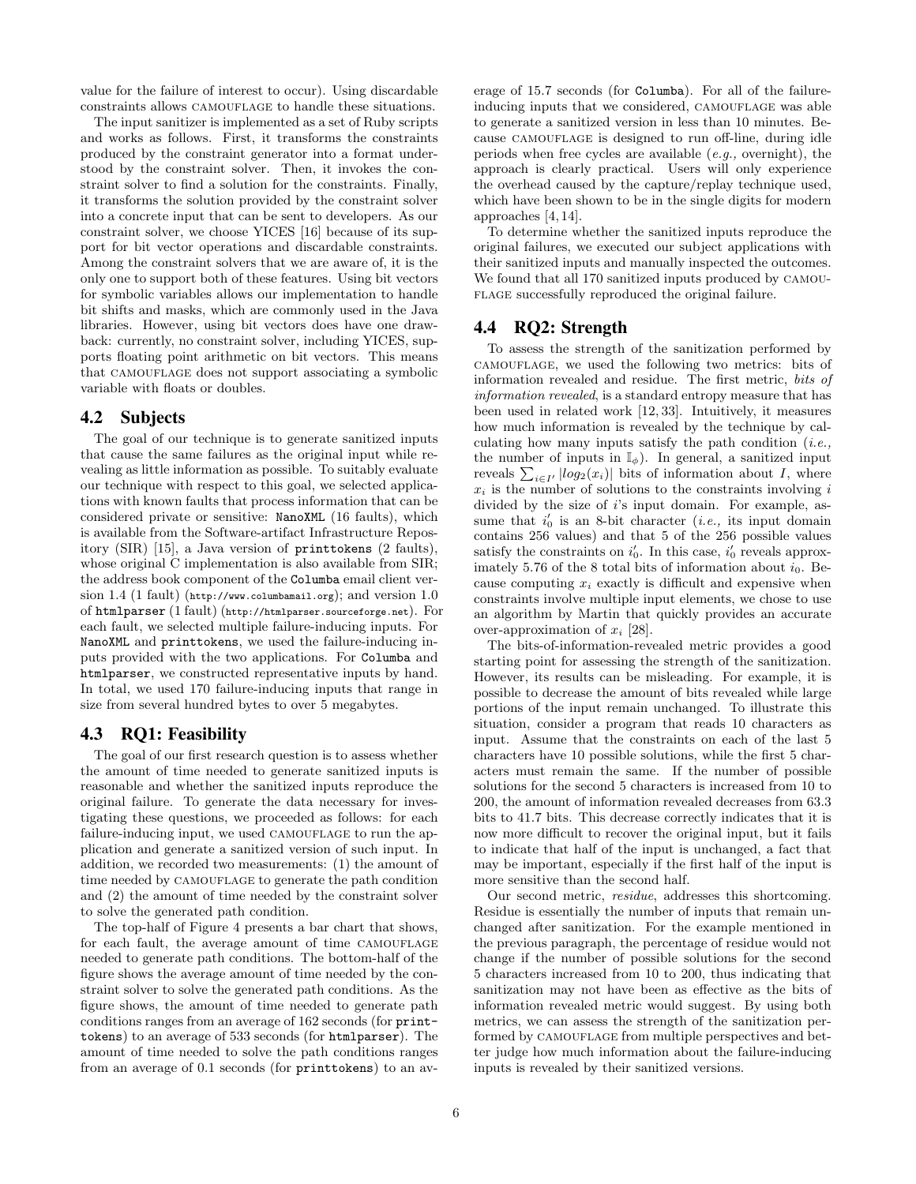value for the failure of interest to occur). Using discardable constraints allows CAMOUFLAGE to handle these situations.

The input sanitizer is implemented as a set of Ruby scripts and works as follows. First, it transforms the constraints produced by the constraint generator into a format understood by the constraint solver. Then, it invokes the constraint solver to find a solution for the constraints. Finally, it transforms the solution provided by the constraint solver into a concrete input that can be sent to developers. As our constraint solver, we choose YICES [16] because of its support for bit vector operations and discardable constraints. Among the constraint solvers that we are aware of, it is the only one to support both of these features. Using bit vectors for symbolic variables allows our implementation to handle bit shifts and masks, which are commonly used in the Java libraries. However, using bit vectors does have one drawback: currently, no constraint solver, including YICES, supports floating point arithmetic on bit vectors. This means that CAMOUFLAGE does not support associating a symbolic variable with floats or doubles.

### 4.2 Subjects

The goal of our technique is to generate sanitized inputs that cause the same failures as the original input while revealing as little information as possible. To suitably evaluate our technique with respect to this goal, we selected applications with known faults that process information that can be considered private or sensitive: NanoXML (16 faults), which is available from the Software-artifact Infrastructure Repository (SIR) [15], a Java version of printtokens (2 faults), whose original C implementation is also available from SIR; the address book component of the Columba email client version 1.4 (1 fault) (http://www.columbamail.org); and version 1.0 of htmlparser (1 fault) (http://htmlparser.sourceforge.net). For each fault, we selected multiple failure-inducing inputs. For NanoXML and printtokens, we used the failure-inducing inputs provided with the two applications. For Columba and htmlparser, we constructed representative inputs by hand. In total, we used 170 failure-inducing inputs that range in size from several hundred bytes to over 5 megabytes.

#### 4.3 RQ1: Feasibility

The goal of our first research question is to assess whether the amount of time needed to generate sanitized inputs is reasonable and whether the sanitized inputs reproduce the original failure. To generate the data necessary for investigating these questions, we proceeded as follows: for each failure-inducing input, we used CAMOUFLAGE to run the application and generate a sanitized version of such input. In addition, we recorded two measurements: (1) the amount of time needed by CAMOUFLAGE to generate the path condition and (2) the amount of time needed by the constraint solver to solve the generated path condition.

The top-half of Figure 4 presents a bar chart that shows, for each fault, the average amount of time CAMOUFLAGE needed to generate path conditions. The bottom-half of the figure shows the average amount of time needed by the constraint solver to solve the generated path conditions. As the figure shows, the amount of time needed to generate path conditions ranges from an average of 162 seconds (for printtokens) to an average of 533 seconds (for htmlparser). The amount of time needed to solve the path conditions ranges from an average of 0.1 seconds (for printtokens) to an average of 15.7 seconds (for Columba). For all of the failureinducing inputs that we considered, CAMOUFLAGE was able to generate a sanitized version in less than 10 minutes. Because CAMOUFLAGE is designed to run off-line, during idle periods when free cycles are available  $(e.q.,$  overnight), the approach is clearly practical. Users will only experience the overhead caused by the capture/replay technique used, which have been shown to be in the single digits for modern approaches [4, 14].

To determine whether the sanitized inputs reproduce the original failures, we executed our subject applications with their sanitized inputs and manually inspected the outcomes. We found that all 170 sanitized inputs produced by camou-FLAGE successfully reproduced the original failure.

#### 4.4 RQ2: Strength

To assess the strength of the sanitization performed by camouflage, we used the following two metrics: bits of information revealed and residue. The first metric, bits of information revealed, is a standard entropy measure that has been used in related work [12, 33]. Intuitively, it measures how much information is revealed by the technique by calculating how many inputs satisfy the path condition  $(i.e.,$ the number of inputs in  $\mathbb{I}_{\phi}$ ). In general, a sanitized input reveals  $\sum_{i\in I'} |log_2(x_i)|$  bits of information about I, where  $x_i$  is the number of solutions to the constraints involving i divided by the size of i's input domain. For example, assume that  $i'_0$  is an 8-bit character (*i.e.*, its input domain contains 256 values) and that 5 of the 256 possible values satisfy the constraints on  $i'_0$ . In this case,  $i'_0$  reveals approximately 5.76 of the 8 total bits of information about  $i_0$ . Because computing  $x_i$  exactly is difficult and expensive when constraints involve multiple input elements, we chose to use an algorithm by Martin that quickly provides an accurate over-approximation of  $x_i$  [28].

The bits-of-information-revealed metric provides a good starting point for assessing the strength of the sanitization. However, its results can be misleading. For example, it is possible to decrease the amount of bits revealed while large portions of the input remain unchanged. To illustrate this situation, consider a program that reads 10 characters as input. Assume that the constraints on each of the last 5 characters have 10 possible solutions, while the first 5 characters must remain the same. If the number of possible solutions for the second 5 characters is increased from 10 to 200, the amount of information revealed decreases from 63.3 bits to 41.7 bits. This decrease correctly indicates that it is now more difficult to recover the original input, but it fails to indicate that half of the input is unchanged, a fact that may be important, especially if the first half of the input is more sensitive than the second half.

Our second metric, residue, addresses this shortcoming. Residue is essentially the number of inputs that remain unchanged after sanitization. For the example mentioned in the previous paragraph, the percentage of residue would not change if the number of possible solutions for the second 5 characters increased from 10 to 200, thus indicating that sanitization may not have been as effective as the bits of information revealed metric would suggest. By using both metrics, we can assess the strength of the sanitization performed by CAMOUFLAGE from multiple perspectives and better judge how much information about the failure-inducing inputs is revealed by their sanitized versions.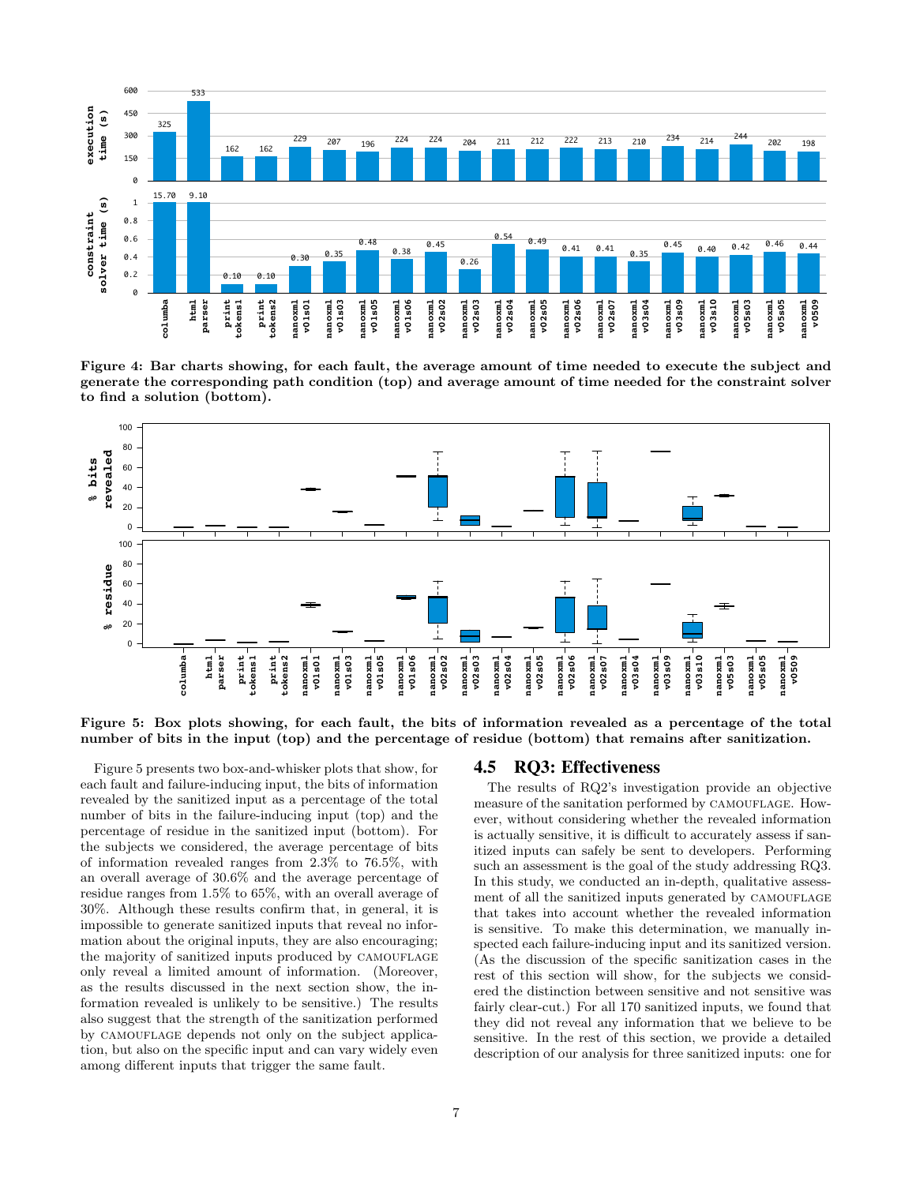

Figure 4: Bar charts showing, for each fault, the average amount of time needed to execute the subject and generate the corresponding path condition (top) and average amount of time needed for the constraint solver to find a solution (bottom).



Figure 5: Box plots showing, for each fault, the bits of information revealed as a percentage of the total number of bits in the input (top) and the percentage of residue (bottom) that remains after sanitization.

Figure 5 presents two box-and-whisker plots that show, for each fault and failure-inducing input, the bits of information revealed by the sanitized input as a percentage of the total number of bits in the failure-inducing input (top) and the percentage of residue in the sanitized input (bottom). For the subjects we considered, the average percentage of bits of information revealed ranges from 2.3% to 76.5%, with an overall average of 30.6% and the average percentage of residue ranges from 1.5% to 65%, with an overall average of 30%. Although these results confirm that, in general, it is impossible to generate sanitized inputs that reveal no information about the original inputs, they are also encouraging; the majority of sanitized inputs produced by CAMOUFLAGE only reveal a limited amount of information. (Moreover, as the results discussed in the next section show, the information revealed is unlikely to be sensitive.) The results also suggest that the strength of the sanitization performed by CAMOUFLAGE depends not only on the subject application, but also on the specific input and can vary widely even among different inputs that trigger the same fault.

#### 4.5 RQ3: Effectiveness

The results of RQ2's investigation provide an objective measure of the sanitation performed by CAMOUFLAGE. However, without considering whether the revealed information is actually sensitive, it is difficult to accurately assess if sanitized inputs can safely be sent to developers. Performing such an assessment is the goal of the study addressing RQ3. In this study, we conducted an in-depth, qualitative assessment of all the sanitized inputs generated by CAMOUFLAGE that takes into account whether the revealed information is sensitive. To make this determination, we manually inspected each failure-inducing input and its sanitized version. (As the discussion of the specific sanitization cases in the rest of this section will show, for the subjects we considered the distinction between sensitive and not sensitive was fairly clear-cut.) For all 170 sanitized inputs, we found that they did not reveal any information that we believe to be sensitive. In the rest of this section, we provide a detailed description of our analysis for three sanitized inputs: one for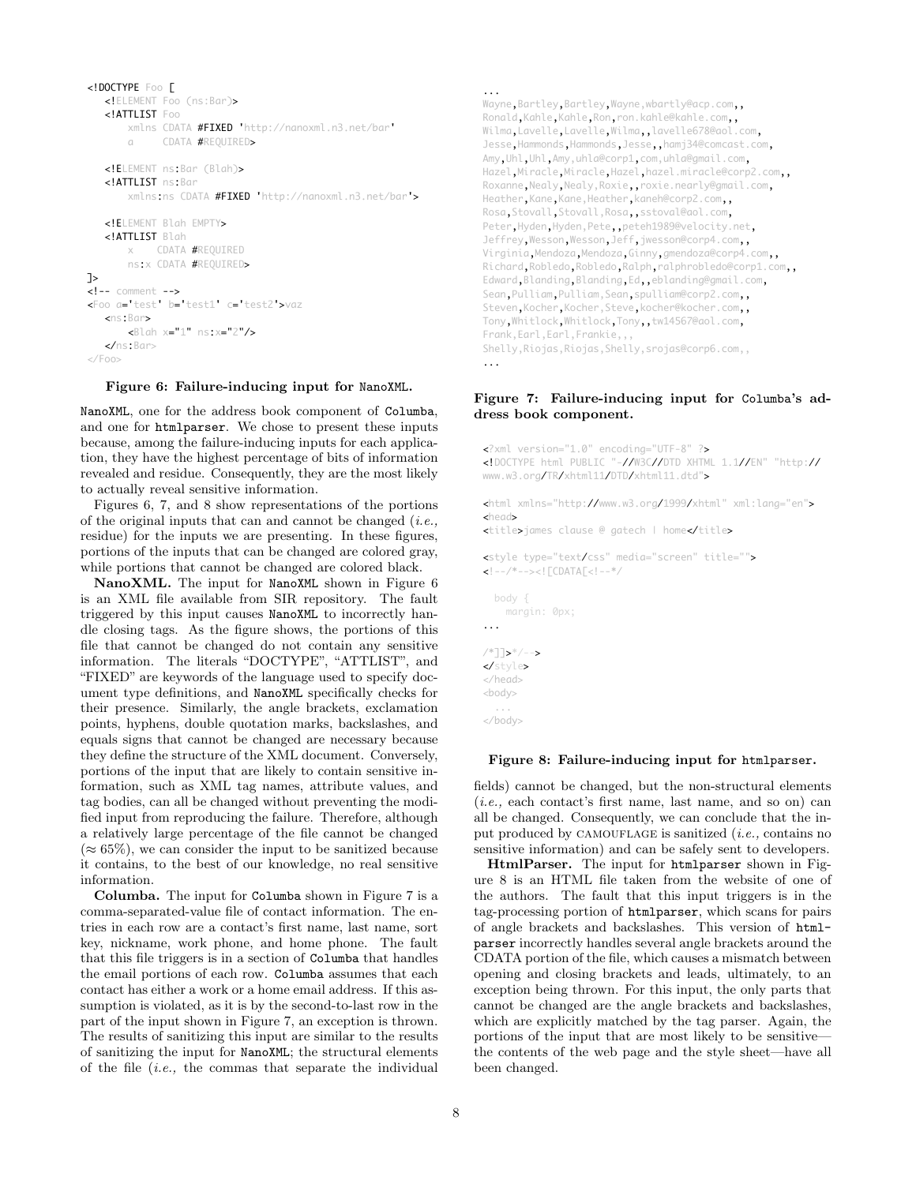```
<!DOCTYPE Foo [
      <!ELEMENT Foo (ns:Bar)>
      <!ATTLIST Foo
               xmlns CDATA #FIXED 'http://nanoxml.n3.net/bar'
        a CDATA #REQUIRED>
      <!ELEMENT ns:Bar (Blah)>
      <!ATTLIST ns:Bar
               xmlns:ns CDATA #FIXED 'http://nanoxml.n3.net/bar'>
      <!ELEMENT Blah EMPTY>
      <!ATTLIST Blah
               x    CDATA #REQUIRED
               ns:x CDATA #REQUIRED>
]>
<!-- comment -->
<Foo a='test' b='test1' c='test2'>vaz
      <ns:Bar>
              <Blah x="1" ns:x="2"/>
   \epsilon/ns·Bars
</Foo>
```
Figure 6: Failure-inducing input for NanoXML.

NanoXML, one for the address book component of Columba, and one for htmlparser. We chose to present these inputs because, among the failure-inducing inputs for each application, they have the highest percentage of bits of information revealed and residue. Consequently, they are the most likely to actually reveal sensitive information.

Figures 6, 7, and 8 show representations of the portions of the original inputs that can and cannot be changed  $(i.e.,$ residue) for the inputs we are presenting. In these figures, portions of the inputs that can be changed are colored gray, while portions that cannot be changed are colored black.

NanoXML. The input for NanoXML shown in Figure 6 is an XML file available from SIR repository. The fault triggered by this input causes NanoXML to incorrectly handle closing tags. As the figure shows, the portions of this file that cannot be changed do not contain any sensitive information. The literals "DOCTYPE", "ATTLIST", and "FIXED" are keywords of the language used to specify document type definitions, and NanoXML specifically checks for their presence. Similarly, the angle brackets, exclamation points, hyphens, double quotation marks, backslashes, and equals signs that cannot be changed are necessary because they define the structure of the XML document. Conversely, portions of the input that are likely to contain sensitive information, such as XML tag names, attribute values, and tag bodies, can all be changed without preventing the modified input from reproducing the failure. Therefore, although a relatively large percentage of the file cannot be changed  $(\approx 65\%)$ , we can consider the input to be sanitized because it contains, to the best of our knowledge, no real sensitive information.

Columba. The input for Columba shown in Figure 7 is a comma-separated-value file of contact information. The entries in each row are a contact's first name, last name, sort key, nickname, work phone, and home phone. The fault that this file triggers is in a section of Columba that handles the email portions of each row. Columba assumes that each contact has either a work or a home email address. If this assumption is violated, as it is by the second-to-last row in the part of the input shown in Figure 7, an exception is thrown. The results of sanitizing this input are similar to the results of sanitizing the input for NanoXML; the structural elements of the file (i.e., the commas that separate the individual

```
...
Wayne, Bartley, Bartley, Wayne, wbartly@acp.com,,
Ronald,Kahle,Kahle,Ron,ron.kahle@kahle.com,,
Wilma,Lavelle,Lavelle,Wilma,,lavelle678@aol.com,
Jesse,Hammonds,Hammonds,Jesse,,hamj34@comcast.com,
Amy,Uhl,Uhl,Amy,uhla@corp1,com,uhla@gmail.com,
Hazel,Miracle,Miracle,Hazel,hazel.miracle@corp2.com,,
Roxanne,Nealy,Nealy,Roxie,,roxie.nearly@gmail.com,
Heather, Kane, Kane, Heather, kaneh@corp2.com,,
Rosa,Stovall,Stovall,Rosa,,sstoval@aol.com,
Peter, Hyden, Hyden, Pete,, peteh1989@velocity.net,
Jeffrey,Wesson,Wesson,Jeff,jwesson@corp4.com,,
Virginia,Mendoza,Mendoza,Ginny,gmendoza@corp4.com,,
Richard,Robledo,Robledo,Ralph,ralphrobledo@corp1.com,,
Edward,Blanding,Blanding,Ed,,eblanding@gmail.com,
Sean,Pulliam,Pulliam,Sean,spulliam@corp2.com,,
Steven,Kocher,Kocher,Steve,kocher@kocher.com,,
Tony,Whitlock,Whitlock,Tony,,tw14567@aol.com,
Frank,Earl,Earl,Frankie,,,
Shelly,Riojas,Riojas,Shelly,srojas@corp6.com,,
...
```
#### Figure 7: Failure-inducing input for Columba's address book component.

```
<?xml version="1.0" encoding="UTF-8" ?>
<!DOCTYPE html PUBLIC "-//W3C//DTD XHTML 1.1//EN" "http://
www.w3.org/TR/xhtml11/DTD/xhtml11.dtd">
<html xmlns="http://www.w3.org/1999/xhtml" xml:lang="en">
<head>
<title>james clause @ gatech | home</title>
<style type="text/css" media="screen" title="">
<!--/*--><![CDATA[<!--*/
  body {
    margin: 0px;
...
/*]]>*/-->
</style>
</head>
<body>
 ...
</body>
Figure 8: Failure-inducing input for htmlparser.
```
fields) cannot be changed, but the non-structural elements (i.e., each contact's first name, last name, and so on) can all be changed. Consequently, we can conclude that the input produced by CAMOUFLAGE is sanitized  $(i.e.,$  contains no sensitive information) and can be safely sent to developers.

HtmlParser. The input for htmlparser shown in Figure 8 is an HTML file taken from the website of one of the authors. The fault that this input triggers is in the tag-processing portion of htmlparser, which scans for pairs of angle brackets and backslashes. This version of htmlparser incorrectly handles several angle brackets around the CDATA portion of the file, which causes a mismatch between opening and closing brackets and leads, ultimately, to an exception being thrown. For this input, the only parts that cannot be changed are the angle brackets and backslashes, which are explicitly matched by the tag parser. Again, the portions of the input that are most likely to be sensitive the contents of the web page and the style sheet—have all been changed.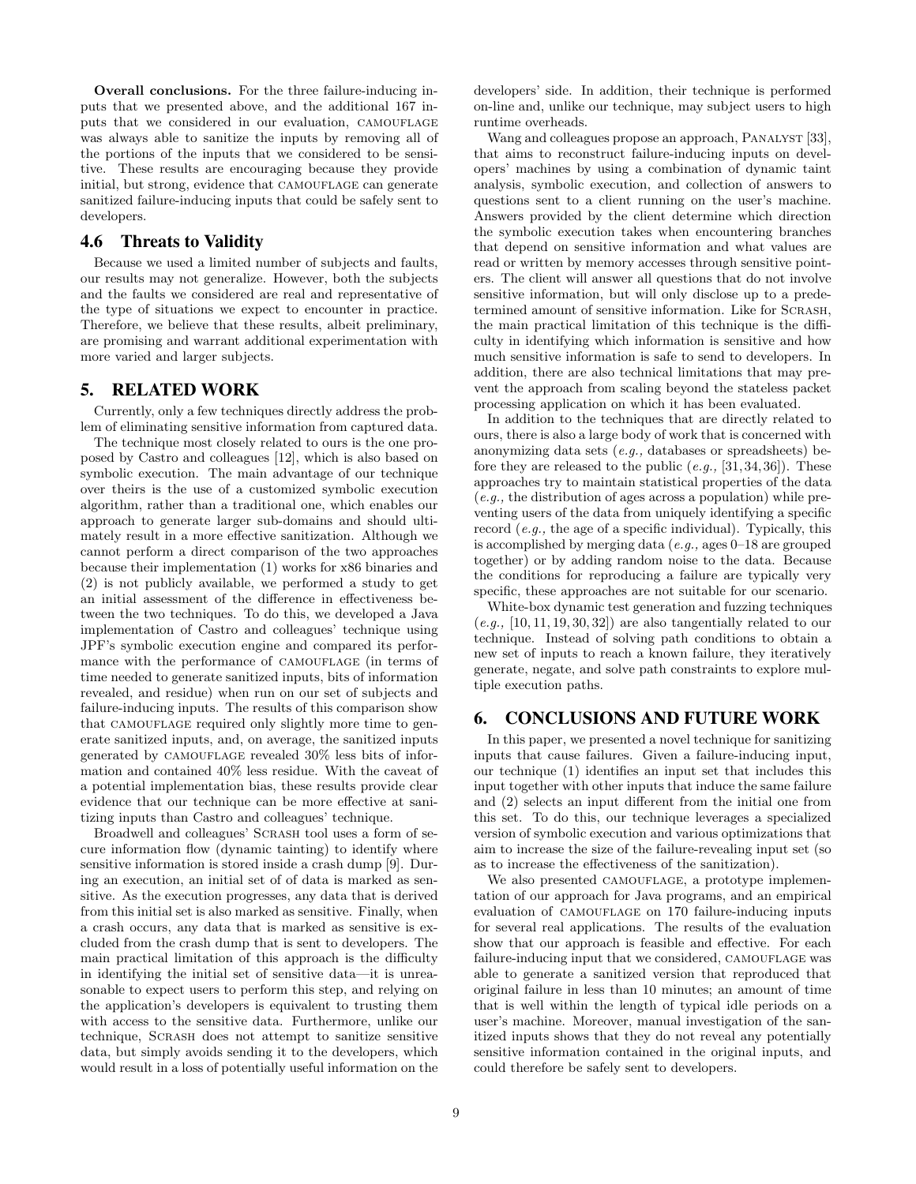Overall conclusions. For the three failure-inducing inputs that we presented above, and the additional 167 inputs that we considered in our evaluation, CAMOUFLAGE was always able to sanitize the inputs by removing all of the portions of the inputs that we considered to be sensitive. These results are encouraging because they provide initial, but strong, evidence that CAMOUFLAGE can generate sanitized failure-inducing inputs that could be safely sent to developers.

#### 4.6 Threats to Validity

Because we used a limited number of subjects and faults, our results may not generalize. However, both the subjects and the faults we considered are real and representative of the type of situations we expect to encounter in practice. Therefore, we believe that these results, albeit preliminary, are promising and warrant additional experimentation with more varied and larger subjects.

#### 5. RELATED WORK

Currently, only a few techniques directly address the problem of eliminating sensitive information from captured data.

The technique most closely related to ours is the one proposed by Castro and colleagues [12], which is also based on symbolic execution. The main advantage of our technique over theirs is the use of a customized symbolic execution algorithm, rather than a traditional one, which enables our approach to generate larger sub-domains and should ultimately result in a more effective sanitization. Although we cannot perform a direct comparison of the two approaches because their implementation (1) works for x86 binaries and (2) is not publicly available, we performed a study to get an initial assessment of the difference in effectiveness between the two techniques. To do this, we developed a Java implementation of Castro and colleagues' technique using JPF's symbolic execution engine and compared its performance with the performance of CAMOUFLAGE (in terms of time needed to generate sanitized inputs, bits of information revealed, and residue) when run on our set of subjects and failure-inducing inputs. The results of this comparison show that CAMOUFLAGE required only slightly more time to generate sanitized inputs, and, on average, the sanitized inputs generated by CAMOUFLAGE revealed  $30\%$  less bits of information and contained 40% less residue. With the caveat of a potential implementation bias, these results provide clear evidence that our technique can be more effective at sanitizing inputs than Castro and colleagues' technique.

Broadwell and colleagues' SCRASH tool uses a form of secure information flow (dynamic tainting) to identify where sensitive information is stored inside a crash dump [9]. During an execution, an initial set of of data is marked as sensitive. As the execution progresses, any data that is derived from this initial set is also marked as sensitive. Finally, when a crash occurs, any data that is marked as sensitive is excluded from the crash dump that is sent to developers. The main practical limitation of this approach is the difficulty in identifying the initial set of sensitive data—it is unreasonable to expect users to perform this step, and relying on the application's developers is equivalent to trusting them with access to the sensitive data. Furthermore, unlike our technique, Scrash does not attempt to sanitize sensitive data, but simply avoids sending it to the developers, which would result in a loss of potentially useful information on the developers' side. In addition, their technique is performed on-line and, unlike our technique, may subject users to high runtime overheads.

Wang and colleagues propose an approach, PANALYST [33], that aims to reconstruct failure-inducing inputs on developers' machines by using a combination of dynamic taint analysis, symbolic execution, and collection of answers to questions sent to a client running on the user's machine. Answers provided by the client determine which direction the symbolic execution takes when encountering branches that depend on sensitive information and what values are read or written by memory accesses through sensitive pointers. The client will answer all questions that do not involve sensitive information, but will only disclose up to a predetermined amount of sensitive information. Like for Scrash, the main practical limitation of this technique is the difficulty in identifying which information is sensitive and how much sensitive information is safe to send to developers. In addition, there are also technical limitations that may prevent the approach from scaling beyond the stateless packet processing application on which it has been evaluated.

In addition to the techniques that are directly related to ours, there is also a large body of work that is concerned with anonymizing data sets (e.g., databases or spreadsheets) before they are released to the public  $(e.g., [31, 34, 36])$ . These approaches try to maintain statistical properties of the data (e.g., the distribution of ages across a population) while preventing users of the data from uniquely identifying a specific record (e.g., the age of a specific individual). Typically, this is accomplished by merging data  $(e.g.,\)$  ages  $0-18$  are grouped together) or by adding random noise to the data. Because the conditions for reproducing a failure are typically very specific, these approaches are not suitable for our scenario.

White-box dynamic test generation and fuzzing techniques  $(e.g., [10, 11, 19, 30, 32])$  are also tangentially related to our technique. Instead of solving path conditions to obtain a new set of inputs to reach a known failure, they iteratively generate, negate, and solve path constraints to explore multiple execution paths.

## 6. CONCLUSIONS AND FUTURE WORK

In this paper, we presented a novel technique for sanitizing inputs that cause failures. Given a failure-inducing input, our technique (1) identifies an input set that includes this input together with other inputs that induce the same failure and (2) selects an input different from the initial one from this set. To do this, our technique leverages a specialized version of symbolic execution and various optimizations that aim to increase the size of the failure-revealing input set (so as to increase the effectiveness of the sanitization).

We also presented CAMOUFLAGE, a prototype implementation of our approach for Java programs, and an empirical evaluation of CAMOUFLAGE on 170 failure-inducing inputs for several real applications. The results of the evaluation show that our approach is feasible and effective. For each failure-inducing input that we considered, CAMOUFLAGE was able to generate a sanitized version that reproduced that original failure in less than 10 minutes; an amount of time that is well within the length of typical idle periods on a user's machine. Moreover, manual investigation of the sanitized inputs shows that they do not reveal any potentially sensitive information contained in the original inputs, and could therefore be safely sent to developers.